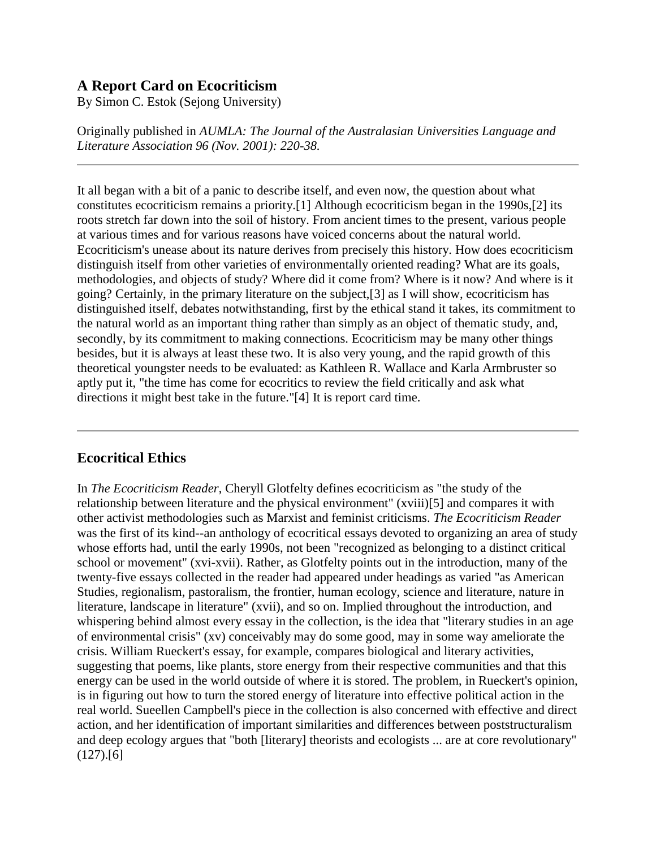# **A Report Card on Ecocriticism**

By Simon C. Estok (Sejong University)

Originally published in *AUMLA: The Journal of the Australasian Universities Language and Literature Association 96 (Nov. 2001): 220-38.*

It all began with a bit of a panic to describe itself, and even now, the question about what constitutes ecocriticism remains a priority.[1] Although ecocriticism began in the 1990s,[2] its roots stretch far down into the soil of history. From ancient times to the present, various people at various times and for various reasons have voiced concerns about the natural world. Ecocriticism's unease about its nature derives from precisely this history. How does ecocriticism distinguish itself from other varieties of environmentally oriented reading? What are its goals, methodologies, and objects of study? Where did it come from? Where is it now? And where is it going? Certainly, in the primary literature on the subject,[3] as I will show, ecocriticism has distinguished itself, debates notwithstanding, first by the ethical stand it takes, its commitment to the natural world as an important thing rather than simply as an object of thematic study, and, secondly, by its commitment to making connections. Ecocriticism may be many other things besides, but it is always at least these two. It is also very young, and the rapid growth of this theoretical youngster needs to be evaluated: as Kathleen R. Wallace and Karla Armbruster so aptly put it, "the time has come for ecocritics to review the field critically and ask what directions it might best take in the future."[4] It is report card time.

# **Ecocritical Ethics**

In *The Ecocriticism Reader*, Cheryll Glotfelty defines ecocriticism as "the study of the relationship between literature and the physical environment" (xviii)[5] and compares it with other activist methodologies such as Marxist and feminist criticisms. *The Ecocriticism Reader* was the first of its kind--an anthology of ecocritical essays devoted to organizing an area of study whose efforts had, until the early 1990s, not been "recognized as belonging to a distinct critical school or movement" (xvi-xvii). Rather, as Glotfelty points out in the introduction, many of the twenty-five essays collected in the reader had appeared under headings as varied "as American Studies, regionalism, pastoralism, the frontier, human ecology, science and literature, nature in literature, landscape in literature" (xvii), and so on. Implied throughout the introduction, and whispering behind almost every essay in the collection, is the idea that "literary studies in an age of environmental crisis" (xv) conceivably may do some good, may in some way ameliorate the crisis. William Rueckert's essay, for example, compares biological and literary activities, suggesting that poems, like plants, store energy from their respective communities and that this energy can be used in the world outside of where it is stored. The problem, in Rueckert's opinion, is in figuring out how to turn the stored energy of literature into effective political action in the real world. Sueellen Campbell's piece in the collection is also concerned with effective and direct action, and her identification of important similarities and differences between poststructuralism and deep ecology argues that "both [literary] theorists and ecologists ... are at core revolutionary" (127).[6]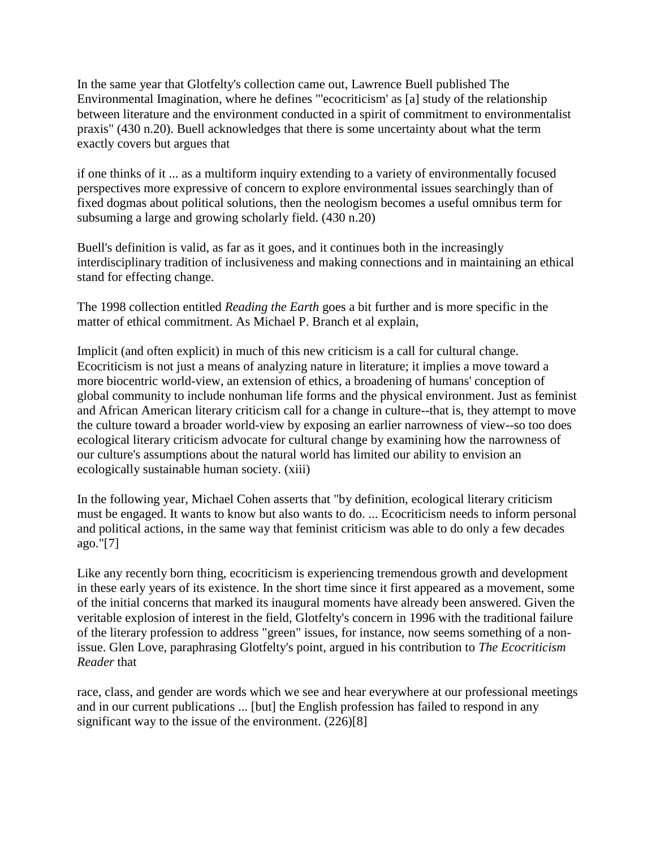In the same year that Glotfelty's collection came out, Lawrence Buell published The Environmental Imagination, where he defines "'ecocriticism' as [a] study of the relationship between literature and the environment conducted in a spirit of commitment to environmentalist praxis" (430 n.20). Buell acknowledges that there is some uncertainty about what the term exactly covers but argues that

if one thinks of it ... as a multiform inquiry extending to a variety of environmentally focused perspectives more expressive of concern to explore environmental issues searchingly than of fixed dogmas about political solutions, then the neologism becomes a useful omnibus term for subsuming a large and growing scholarly field. (430 n.20)

Buell's definition is valid, as far as it goes, and it continues both in the increasingly interdisciplinary tradition of inclusiveness and making connections and in maintaining an ethical stand for effecting change.

The 1998 collection entitled *Reading the Earth* goes a bit further and is more specific in the matter of ethical commitment. As Michael P. Branch et al explain,

Implicit (and often explicit) in much of this new criticism is a call for cultural change. Ecocriticism is not just a means of analyzing nature in literature; it implies a move toward a more biocentric world-view, an extension of ethics, a broadening of humans' conception of global community to include nonhuman life forms and the physical environment. Just as feminist and African American literary criticism call for a change in culture--that is, they attempt to move the culture toward a broader world-view by exposing an earlier narrowness of view--so too does ecological literary criticism advocate for cultural change by examining how the narrowness of our culture's assumptions about the natural world has limited our ability to envision an ecologically sustainable human society. (xiii)

In the following year, Michael Cohen asserts that "by definition, ecological literary criticism must be engaged. It wants to know but also wants to do. ... Ecocriticism needs to inform personal and political actions, in the same way that feminist criticism was able to do only a few decades ago."[7]

Like any recently born thing, ecocriticism is experiencing tremendous growth and development in these early years of its existence. In the short time since it first appeared as a movement, some of the initial concerns that marked its inaugural moments have already been answered. Given the veritable explosion of interest in the field, Glotfelty's concern in 1996 with the traditional failure of the literary profession to address "green" issues, for instance, now seems something of a nonissue. Glen Love, paraphrasing Glotfelty's point, argued in his contribution to *The Ecocriticism Reader* that

race, class, and gender are words which we see and hear everywhere at our professional meetings and in our current publications ... [but] the English profession has failed to respond in any significant way to the issue of the environment.  $(226)[8]$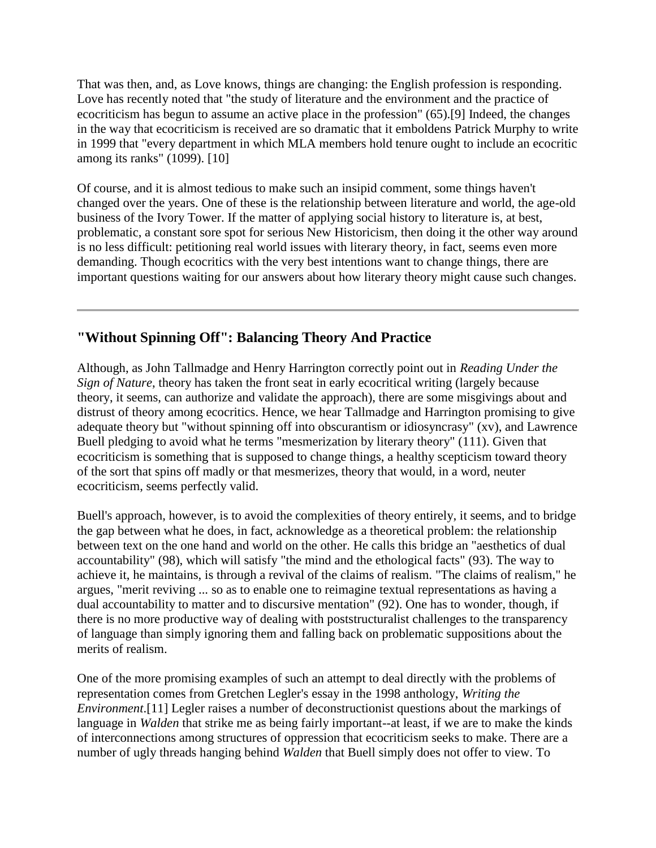That was then, and, as Love knows, things are changing: the English profession is responding. Love has recently noted that "the study of literature and the environment and the practice of ecocriticism has begun to assume an active place in the profession" (65).[9] Indeed, the changes in the way that ecocriticism is received are so dramatic that it emboldens Patrick Murphy to write in 1999 that "every department in which MLA members hold tenure ought to include an ecocritic among its ranks" (1099). [10]

Of course, and it is almost tedious to make such an insipid comment, some things haven't changed over the years. One of these is the relationship between literature and world, the age-old business of the Ivory Tower. If the matter of applying social history to literature is, at best, problematic, a constant sore spot for serious New Historicism, then doing it the other way around is no less difficult: petitioning real world issues with literary theory, in fact, seems even more demanding. Though ecocritics with the very best intentions want to change things, there are important questions waiting for our answers about how literary theory might cause such changes.

# **"Without Spinning Off": Balancing Theory And Practice**

Although, as John Tallmadge and Henry Harrington correctly point out in *Reading Under the Sign of Nature*, theory has taken the front seat in early ecocritical writing (largely because theory, it seems, can authorize and validate the approach), there are some misgivings about and distrust of theory among ecocritics. Hence, we hear Tallmadge and Harrington promising to give adequate theory but "without spinning off into obscurantism or idiosyncrasy" (xv), and Lawrence Buell pledging to avoid what he terms "mesmerization by literary theory" (111). Given that ecocriticism is something that is supposed to change things, a healthy scepticism toward theory of the sort that spins off madly or that mesmerizes, theory that would, in a word, neuter ecocriticism, seems perfectly valid.

Buell's approach, however, is to avoid the complexities of theory entirely, it seems, and to bridge the gap between what he does, in fact, acknowledge as a theoretical problem: the relationship between text on the one hand and world on the other. He calls this bridge an "aesthetics of dual accountability" (98), which will satisfy "the mind and the ethological facts" (93). The way to achieve it, he maintains, is through a revival of the claims of realism. "The claims of realism," he argues, "merit reviving ... so as to enable one to reimagine textual representations as having a dual accountability to matter and to discursive mentation" (92). One has to wonder, though, if there is no more productive way of dealing with poststructuralist challenges to the transparency of language than simply ignoring them and falling back on problematic suppositions about the merits of realism.

One of the more promising examples of such an attempt to deal directly with the problems of representation comes from Gretchen Legler's essay in the 1998 anthology, *Writing the Environment*.[11] Legler raises a number of deconstructionist questions about the markings of language in *Walden* that strike me as being fairly important--at least, if we are to make the kinds of interconnections among structures of oppression that ecocriticism seeks to make. There are a number of ugly threads hanging behind *Walden* that Buell simply does not offer to view. To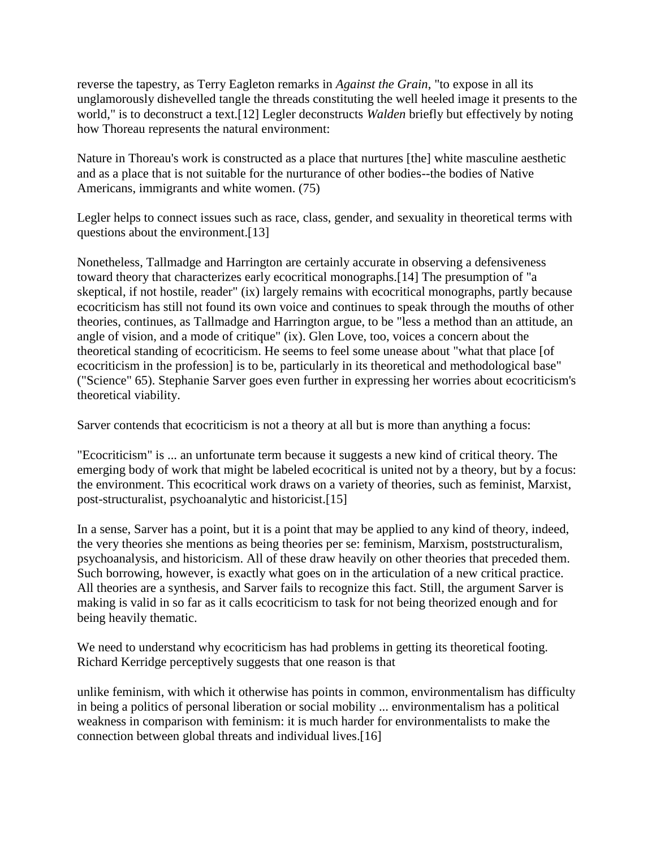reverse the tapestry, as Terry Eagleton remarks in *Against the Grain*, "to expose in all its unglamorously dishevelled tangle the threads constituting the well heeled image it presents to the world," is to deconstruct a text.[12] Legler deconstructs *Walden* briefly but effectively by noting how Thoreau represents the natural environment:

Nature in Thoreau's work is constructed as a place that nurtures [the] white masculine aesthetic and as a place that is not suitable for the nurturance of other bodies--the bodies of Native Americans, immigrants and white women. (75)

Legler helps to connect issues such as race, class, gender, and sexuality in theoretical terms with questions about the environment.[13]

Nonetheless, Tallmadge and Harrington are certainly accurate in observing a defensiveness toward theory that characterizes early ecocritical monographs.[14] The presumption of "a skeptical, if not hostile, reader" (ix) largely remains with ecocritical monographs, partly because ecocriticism has still not found its own voice and continues to speak through the mouths of other theories, continues, as Tallmadge and Harrington argue, to be "less a method than an attitude, an angle of vision, and a mode of critique" (ix). Glen Love, too, voices a concern about the theoretical standing of ecocriticism. He seems to feel some unease about "what that place [of ecocriticism in the profession] is to be, particularly in its theoretical and methodological base" ("Science" 65). Stephanie Sarver goes even further in expressing her worries about ecocriticism's theoretical viability.

Sarver contends that ecocriticism is not a theory at all but is more than anything a focus:

"Ecocriticism" is ... an unfortunate term because it suggests a new kind of critical theory. The emerging body of work that might be labeled ecocritical is united not by a theory, but by a focus: the environment. This ecocritical work draws on a variety of theories, such as feminist, Marxist, post-structuralist, psychoanalytic and historicist.[15]

In a sense, Sarver has a point, but it is a point that may be applied to any kind of theory, indeed, the very theories she mentions as being theories per se: feminism, Marxism, poststructuralism, psychoanalysis, and historicism. All of these draw heavily on other theories that preceded them. Such borrowing, however, is exactly what goes on in the articulation of a new critical practice. All theories are a synthesis, and Sarver fails to recognize this fact. Still, the argument Sarver is making is valid in so far as it calls ecocriticism to task for not being theorized enough and for being heavily thematic.

We need to understand why ecocriticism has had problems in getting its theoretical footing. Richard Kerridge perceptively suggests that one reason is that

unlike feminism, with which it otherwise has points in common, environmentalism has difficulty in being a politics of personal liberation or social mobility ... environmentalism has a political weakness in comparison with feminism: it is much harder for environmentalists to make the connection between global threats and individual lives.[16]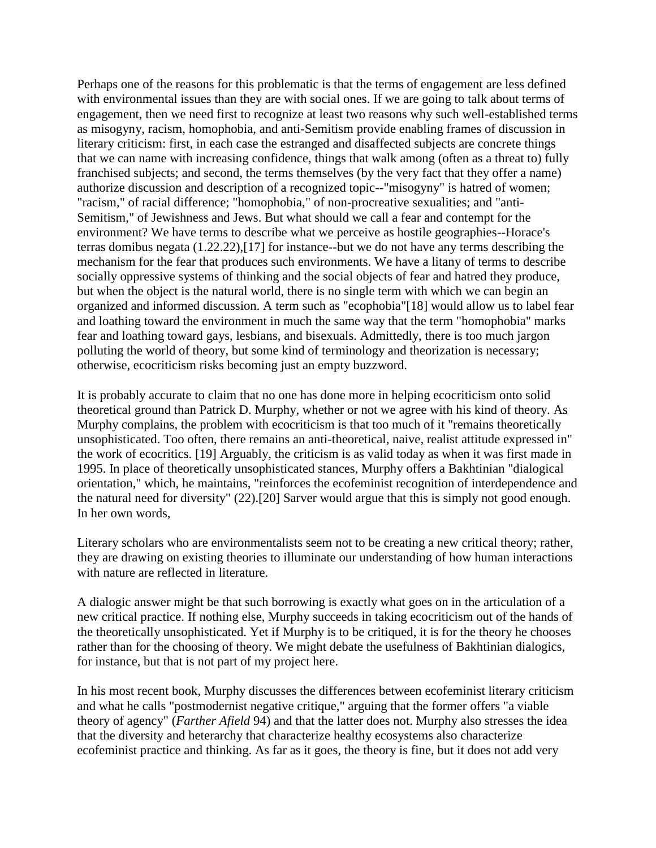Perhaps one of the reasons for this problematic is that the terms of engagement are less defined with environmental issues than they are with social ones. If we are going to talk about terms of engagement, then we need first to recognize at least two reasons why such well-established terms as misogyny, racism, homophobia, and anti-Semitism provide enabling frames of discussion in literary criticism: first, in each case the estranged and disaffected subjects are concrete things that we can name with increasing confidence, things that walk among (often as a threat to) fully franchised subjects; and second, the terms themselves (by the very fact that they offer a name) authorize discussion and description of a recognized topic--"misogyny" is hatred of women; "racism," of racial difference; "homophobia," of non-procreative sexualities; and "anti-Semitism," of Jewishness and Jews. But what should we call a fear and contempt for the environment? We have terms to describe what we perceive as hostile geographies--Horace's terras domibus negata (1.22.22),[17] for instance--but we do not have any terms describing the mechanism for the fear that produces such environments. We have a litany of terms to describe socially oppressive systems of thinking and the social objects of fear and hatred they produce, but when the object is the natural world, there is no single term with which we can begin an organized and informed discussion. A term such as "ecophobia"[18] would allow us to label fear and loathing toward the environment in much the same way that the term "homophobia" marks fear and loathing toward gays, lesbians, and bisexuals. Admittedly, there is too much jargon polluting the world of theory, but some kind of terminology and theorization is necessary; otherwise, ecocriticism risks becoming just an empty buzzword.

It is probably accurate to claim that no one has done more in helping ecocriticism onto solid theoretical ground than Patrick D. Murphy, whether or not we agree with his kind of theory. As Murphy complains, the problem with ecocriticism is that too much of it "remains theoretically unsophisticated. Too often, there remains an anti-theoretical, naive, realist attitude expressed in" the work of ecocritics. [19] Arguably, the criticism is as valid today as when it was first made in 1995. In place of theoretically unsophisticated stances, Murphy offers a Bakhtinian "dialogical orientation," which, he maintains, "reinforces the ecofeminist recognition of interdependence and the natural need for diversity" (22).[20] Sarver would argue that this is simply not good enough. In her own words,

Literary scholars who are environmentalists seem not to be creating a new critical theory; rather, they are drawing on existing theories to illuminate our understanding of how human interactions with nature are reflected in literature.

A dialogic answer might be that such borrowing is exactly what goes on in the articulation of a new critical practice. If nothing else, Murphy succeeds in taking ecocriticism out of the hands of the theoretically unsophisticated. Yet if Murphy is to be critiqued, it is for the theory he chooses rather than for the choosing of theory. We might debate the usefulness of Bakhtinian dialogics, for instance, but that is not part of my project here.

In his most recent book, Murphy discusses the differences between ecofeminist literary criticism and what he calls "postmodernist negative critique," arguing that the former offers "a viable theory of agency" (*Farther Afield* 94) and that the latter does not. Murphy also stresses the idea that the diversity and heterarchy that characterize healthy ecosystems also characterize ecofeminist practice and thinking. As far as it goes, the theory is fine, but it does not add very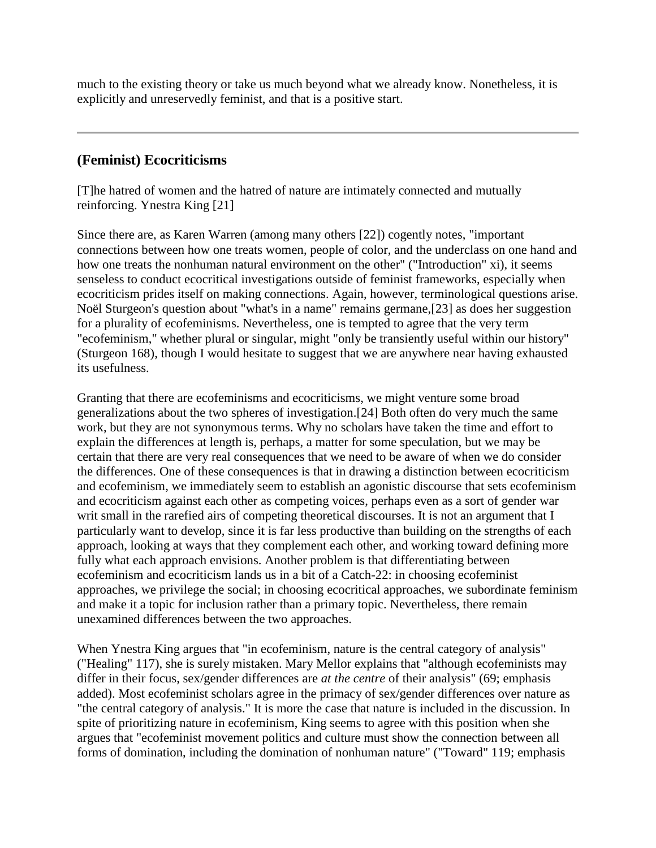much to the existing theory or take us much beyond what we already know. Nonetheless, it is explicitly and unreservedly feminist, and that is a positive start.

### **(Feminist) Ecocriticisms**

[T]he hatred of women and the hatred of nature are intimately connected and mutually reinforcing. Ynestra King [21]

Since there are, as Karen Warren (among many others [22]) cogently notes, "important connections between how one treats women, people of color, and the underclass on one hand and how one treats the nonhuman natural environment on the other" ("Introduction" xi), it seems senseless to conduct ecocritical investigations outside of feminist frameworks, especially when ecocriticism prides itself on making connections. Again, however, terminological questions arise. Noël Sturgeon's question about "what's in a name" remains germane,[23] as does her suggestion for a plurality of ecofeminisms. Nevertheless, one is tempted to agree that the very term "ecofeminism," whether plural or singular, might "only be transiently useful within our history" (Sturgeon 168), though I would hesitate to suggest that we are anywhere near having exhausted its usefulness.

Granting that there are ecofeminisms and ecocriticisms, we might venture some broad generalizations about the two spheres of investigation.[24] Both often do very much the same work, but they are not synonymous terms. Why no scholars have taken the time and effort to explain the differences at length is, perhaps, a matter for some speculation, but we may be certain that there are very real consequences that we need to be aware of when we do consider the differences. One of these consequences is that in drawing a distinction between ecocriticism and ecofeminism, we immediately seem to establish an agonistic discourse that sets ecofeminism and ecocriticism against each other as competing voices, perhaps even as a sort of gender war writ small in the rarefied airs of competing theoretical discourses. It is not an argument that I particularly want to develop, since it is far less productive than building on the strengths of each approach, looking at ways that they complement each other, and working toward defining more fully what each approach envisions. Another problem is that differentiating between ecofeminism and ecocriticism lands us in a bit of a Catch-22: in choosing ecofeminist approaches, we privilege the social; in choosing ecocritical approaches, we subordinate feminism and make it a topic for inclusion rather than a primary topic. Nevertheless, there remain unexamined differences between the two approaches.

When Ynestra King argues that "in ecofeminism, nature is the central category of analysis" ("Healing" 117), she is surely mistaken. Mary Mellor explains that "although ecofeminists may differ in their focus, sex/gender differences are *at the centre* of their analysis" (69; emphasis added). Most ecofeminist scholars agree in the primacy of sex/gender differences over nature as "the central category of analysis." It is more the case that nature is included in the discussion. In spite of prioritizing nature in ecofeminism, King seems to agree with this position when she argues that "ecofeminist movement politics and culture must show the connection between all forms of domination, including the domination of nonhuman nature" ("Toward" 119; emphasis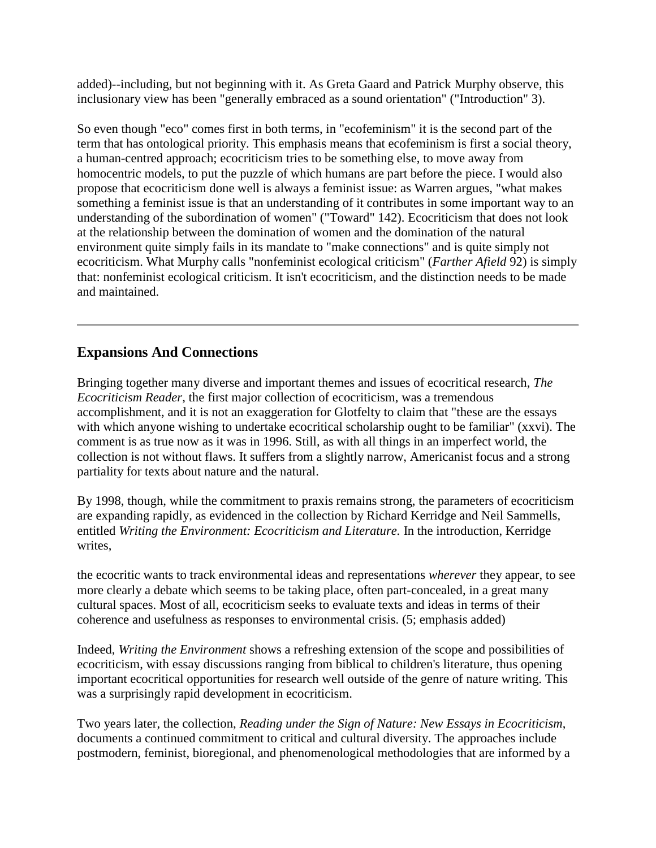added)--including, but not beginning with it. As Greta Gaard and Patrick Murphy observe, this inclusionary view has been "generally embraced as a sound orientation" ("Introduction" 3).

So even though "eco" comes first in both terms, in "ecofeminism" it is the second part of the term that has ontological priority. This emphasis means that ecofeminism is first a social theory, a human-centred approach; ecocriticism tries to be something else, to move away from homocentric models, to put the puzzle of which humans are part before the piece. I would also propose that ecocriticism done well is always a feminist issue: as Warren argues, "what makes something a feminist issue is that an understanding of it contributes in some important way to an understanding of the subordination of women" ("Toward" 142). Ecocriticism that does not look at the relationship between the domination of women and the domination of the natural environment quite simply fails in its mandate to "make connections" and is quite simply not ecocriticism. What Murphy calls "nonfeminist ecological criticism" (*Farther Afield* 92) is simply that: nonfeminist ecological criticism. It isn't ecocriticism, and the distinction needs to be made and maintained.

## **Expansions And Connections**

Bringing together many diverse and important themes and issues of ecocritical research, *The Ecocriticism Reader*, the first major collection of ecocriticism, was a tremendous accomplishment, and it is not an exaggeration for Glotfelty to claim that "these are the essays with which anyone wishing to undertake ecocritical scholarship ought to be familiar" (xxvi). The comment is as true now as it was in 1996. Still, as with all things in an imperfect world, the collection is not without flaws. It suffers from a slightly narrow, Americanist focus and a strong partiality for texts about nature and the natural.

By 1998, though, while the commitment to praxis remains strong, the parameters of ecocriticism are expanding rapidly, as evidenced in the collection by Richard Kerridge and Neil Sammells, entitled *Writing the Environment: Ecocriticism and Literature.* In the introduction, Kerridge writes,

the ecocritic wants to track environmental ideas and representations *wherever* they appear, to see more clearly a debate which seems to be taking place, often part-concealed, in a great many cultural spaces. Most of all, ecocriticism seeks to evaluate texts and ideas in terms of their coherence and usefulness as responses to environmental crisis. (5; emphasis added)

Indeed, *Writing the Environment* shows a refreshing extension of the scope and possibilities of ecocriticism, with essay discussions ranging from biblical to children's literature, thus opening important ecocritical opportunities for research well outside of the genre of nature writing. This was a surprisingly rapid development in ecocriticism.

Two years later, the collection, *Reading under the Sign of Nature: New Essays in Ecocriticism*, documents a continued commitment to critical and cultural diversity. The approaches include postmodern, feminist, bioregional, and phenomenological methodologies that are informed by a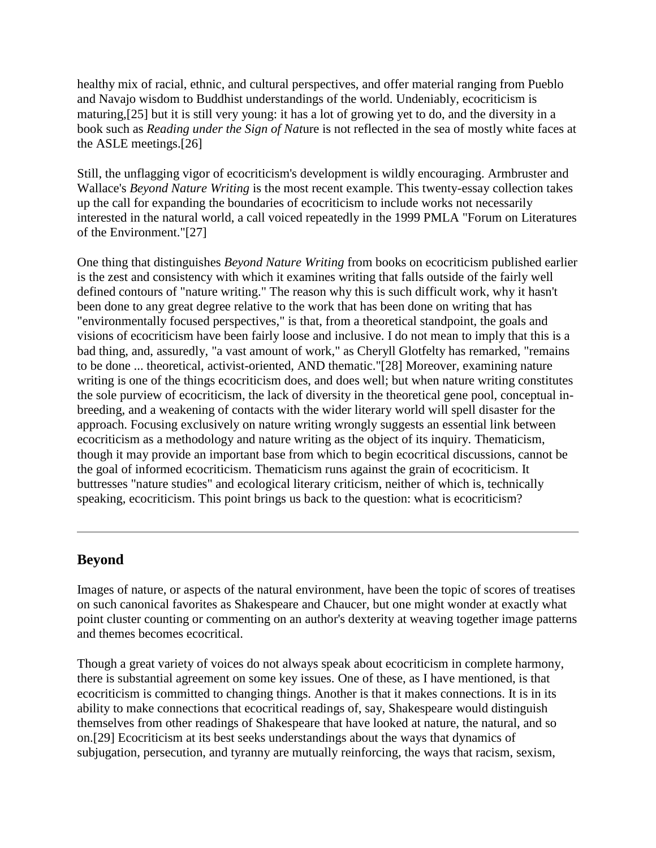healthy mix of racial, ethnic, and cultural perspectives, and offer material ranging from Pueblo and Navajo wisdom to Buddhist understandings of the world. Undeniably, ecocriticism is maturing,[25] but it is still very young: it has a lot of growing yet to do, and the diversity in a book such as *Reading under the Sign of Nat*ure is not reflected in the sea of mostly white faces at the ASLE meetings.[26]

Still, the unflagging vigor of ecocriticism's development is wildly encouraging. Armbruster and Wallace's *Beyond Nature Writing* is the most recent example. This twenty-essay collection takes up the call for expanding the boundaries of ecocriticism to include works not necessarily interested in the natural world, a call voiced repeatedly in the 1999 PMLA "Forum on Literatures of the Environment."[27]

One thing that distinguishes *Beyond Nature Writing* from books on ecocriticism published earlier is the zest and consistency with which it examines writing that falls outside of the fairly well defined contours of "nature writing." The reason why this is such difficult work, why it hasn't been done to any great degree relative to the work that has been done on writing that has "environmentally focused perspectives," is that, from a theoretical standpoint, the goals and visions of ecocriticism have been fairly loose and inclusive. I do not mean to imply that this is a bad thing, and, assuredly, "a vast amount of work," as Cheryll Glotfelty has remarked, "remains to be done ... theoretical, activist-oriented, AND thematic."[28] Moreover, examining nature writing is one of the things ecocriticism does, and does well; but when nature writing constitutes the sole purview of ecocriticism, the lack of diversity in the theoretical gene pool, conceptual inbreeding, and a weakening of contacts with the wider literary world will spell disaster for the approach. Focusing exclusively on nature writing wrongly suggests an essential link between ecocriticism as a methodology and nature writing as the object of its inquiry. Thematicism, though it may provide an important base from which to begin ecocritical discussions, cannot be the goal of informed ecocriticism. Thematicism runs against the grain of ecocriticism. It buttresses "nature studies" and ecological literary criticism, neither of which is, technically speaking, ecocriticism. This point brings us back to the question: what is ecocriticism?

## **Beyond**

Images of nature, or aspects of the natural environment, have been the topic of scores of treatises on such canonical favorites as Shakespeare and Chaucer, but one might wonder at exactly what point cluster counting or commenting on an author's dexterity at weaving together image patterns and themes becomes ecocritical.

Though a great variety of voices do not always speak about ecocriticism in complete harmony, there is substantial agreement on some key issues. One of these, as I have mentioned, is that ecocriticism is committed to changing things. Another is that it makes connections. It is in its ability to make connections that ecocritical readings of, say, Shakespeare would distinguish themselves from other readings of Shakespeare that have looked at nature, the natural, and so on.[29] Ecocriticism at its best seeks understandings about the ways that dynamics of subjugation, persecution, and tyranny are mutually reinforcing, the ways that racism, sexism,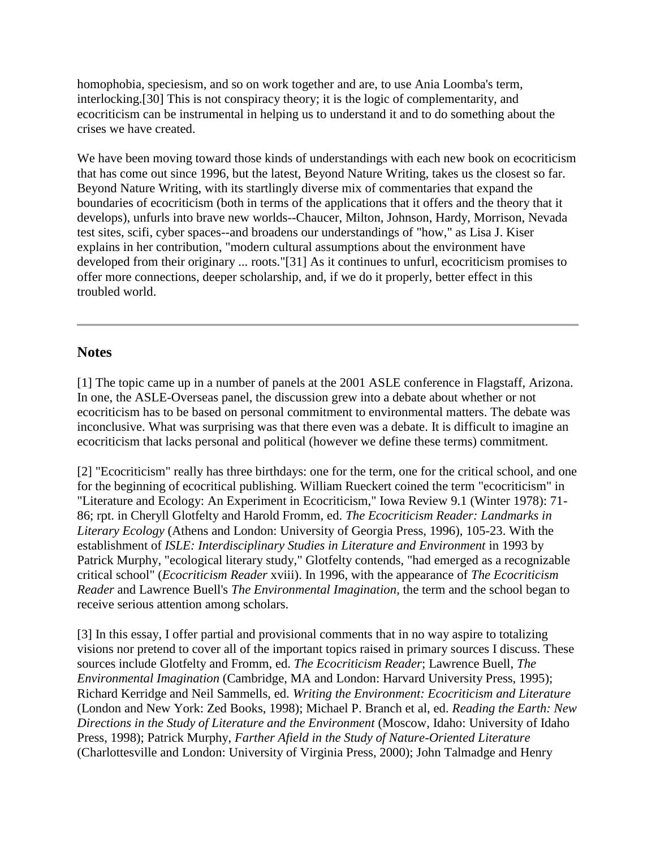homophobia, speciesism, and so on work together and are, to use Ania Loomba's term, interlocking.[30] This is not conspiracy theory; it is the logic of complementarity, and ecocriticism can be instrumental in helping us to understand it and to do something about the crises we have created.

We have been moving toward those kinds of understandings with each new book on ecocriticism that has come out since 1996, but the latest, Beyond Nature Writing, takes us the closest so far. Beyond Nature Writing, with its startlingly diverse mix of commentaries that expand the boundaries of ecocriticism (both in terms of the applications that it offers and the theory that it develops), unfurls into brave new worlds--Chaucer, Milton, Johnson, Hardy, Morrison, Nevada test sites, scifi, cyber spaces--and broadens our understandings of "how," as Lisa J. Kiser explains in her contribution, "modern cultural assumptions about the environment have developed from their originary ... roots."[31] As it continues to unfurl, ecocriticism promises to offer more connections, deeper scholarship, and, if we do it properly, better effect in this troubled world.

### **Notes**

[1] The topic came up in a number of panels at the 2001 ASLE conference in Flagstaff, Arizona. In one, the ASLE-Overseas panel, the discussion grew into a debate about whether or not ecocriticism has to be based on personal commitment to environmental matters. The debate was inconclusive. What was surprising was that there even was a debate. It is difficult to imagine an ecocriticism that lacks personal and political (however we define these terms) commitment.

[2] "Ecocriticism" really has three birthdays: one for the term, one for the critical school, and one for the beginning of ecocritical publishing. William Rueckert coined the term "ecocriticism" in "Literature and Ecology: An Experiment in Ecocriticism," Iowa Review 9.1 (Winter 1978): 71- 86; rpt. in Cheryll Glotfelty and Harold Fromm, ed. *The Ecocriticism Reader: Landmarks in Literary Ecology* (Athens and London: University of Georgia Press, 1996), 105-23. With the establishment of *ISLE: Interdisciplinary Studies in Literature and Environment* in 1993 by Patrick Murphy, "ecological literary study," Glotfelty contends, "had emerged as a recognizable critical school" (*Ecocriticism Reader* xviii). In 1996, with the appearance of *The Ecocriticism Reader* and Lawrence Buell's *The Environmental Imagination*, the term and the school began to receive serious attention among scholars.

[3] In this essay, I offer partial and provisional comments that in no way aspire to totalizing visions nor pretend to cover all of the important topics raised in primary sources I discuss. These sources include Glotfelty and Fromm, ed. *The Ecocriticism Reader*; Lawrence Buell, *The Environmental Imagination* (Cambridge, MA and London: Harvard University Press, 1995); Richard Kerridge and Neil Sammells, ed. *Writing the Environment: Ecocriticism and Literature* (London and New York: Zed Books, 1998); Michael P. Branch et al, ed. *Reading the Earth: New Directions in the Study of Literature and the Environment* (Moscow, Idaho: University of Idaho Press, 1998); Patrick Murphy, *Farther Afield in the Study of Nature-Oriented Literature* (Charlottesville and London: University of Virginia Press, 2000); John Talmadge and Henry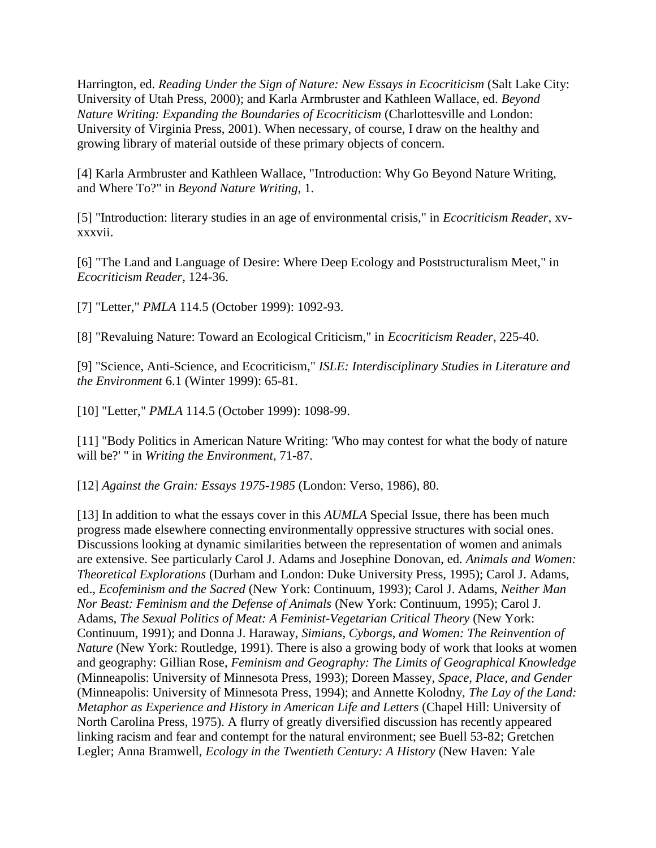Harrington, ed. *Reading Under the Sign of Nature: New Essays in Ecocriticism* (Salt Lake City: University of Utah Press, 2000); and Karla Armbruster and Kathleen Wallace, ed. *Beyond Nature Writing: Expanding the Boundaries of Ecocriticism* (Charlottesville and London: University of Virginia Press, 2001). When necessary, of course, I draw on the healthy and growing library of material outside of these primary objects of concern.

[4] Karla Armbruster and Kathleen Wallace, "Introduction: Why Go Beyond Nature Writing, and Where To?" in *Beyond Nature Writing*, 1.

[5] "Introduction: literary studies in an age of environmental crisis," in *Ecocriticism Reader*, xvxxxvii.

[6] "The Land and Language of Desire: Where Deep Ecology and Poststructuralism Meet," in *Ecocriticism Reader*, 124-36.

[7] "Letter," *PMLA* 114.5 (October 1999): 1092-93.

[8] "Revaluing Nature: Toward an Ecological Criticism," in *Ecocriticism Reader*, 225-40.

[9] "Science, Anti-Science, and Ecocriticism," *ISLE: Interdisciplinary Studies in Literature and the Environment* 6.1 (Winter 1999): 65-81.

[10] "Letter," *PMLA* 114.5 (October 1999): 1098-99.

[11] "Body Politics in American Nature Writing: 'Who may contest for what the body of nature will be?' " in *Writing the Environment*, 71-87.

[12] *Against the Grain: Essays 1975-1985* (London: Verso, 1986), 80.

[13] In addition to what the essays cover in this *AUMLA* Special Issue, there has been much progress made elsewhere connecting environmentally oppressive structures with social ones. Discussions looking at dynamic similarities between the representation of women and animals are extensive. See particularly Carol J. Adams and Josephine Donovan, ed. *Animals and Women: Theoretical Explorations* (Durham and London: Duke University Press, 1995); Carol J. Adams, ed., *Ecofeminism and the Sacred* (New York: Continuum, 1993); Carol J. Adams, *Neither Man Nor Beast: Feminism and the Defense of Animals* (New York: Continuum, 1995); Carol J. Adams, *The Sexual Politics of Meat: A Feminist-Vegetarian Critical Theory* (New York: Continuum, 1991); and Donna J. Haraway, *Simians, Cyborgs, and Women: The Reinvention of Nature* (New York: Routledge, 1991). There is also a growing body of work that looks at women and geography: Gillian Rose, *Feminism and Geography: The Limits of Geographical Knowledge* (Minneapolis: University of Minnesota Press, 1993); Doreen Massey, *Space, Place, and Gender* (Minneapolis: University of Minnesota Press, 1994); and Annette Kolodny, *The Lay of the Land: Metaphor as Experience and History in American Life and Letters* (Chapel Hill: University of North Carolina Press, 1975). A flurry of greatly diversified discussion has recently appeared linking racism and fear and contempt for the natural environment; see Buell 53-82; Gretchen Legler; Anna Bramwell, *Ecology in the Twentieth Century: A History* (New Haven: Yale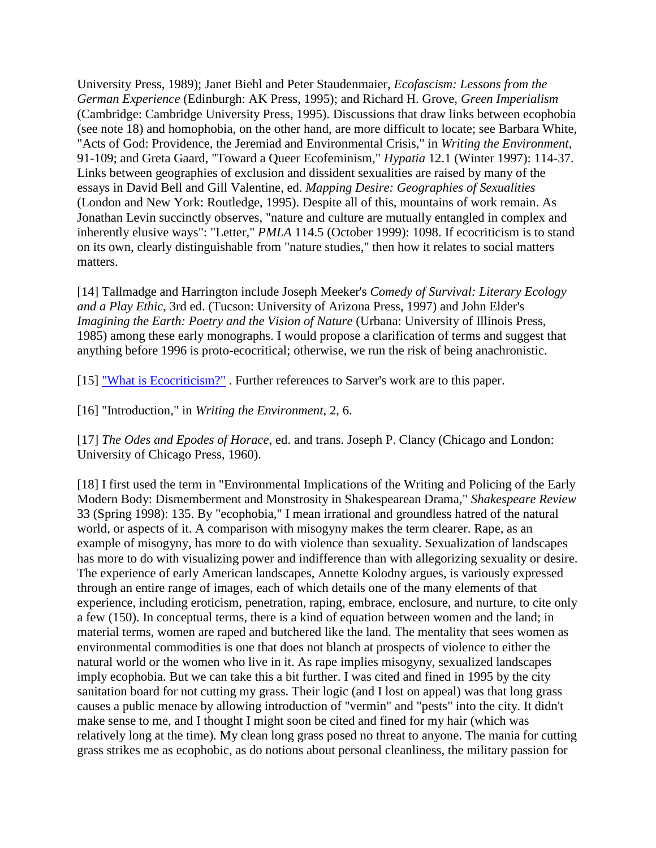University Press, 1989); Janet Biehl and Peter Staudenmaier, *Ecofascism: Lessons from the German Experience* (Edinburgh: AK Press, 1995); and Richard H. Grove, *Green Imperialism* (Cambridge: Cambridge University Press, 1995). Discussions that draw links between ecophobia (see note 18) and homophobia, on the other hand, are more difficult to locate; see Barbara White, "Acts of God: Providence, the Jeremiad and Environmental Crisis," in *Writing the Environment*, 91-109; and Greta Gaard, "Toward a Queer Ecofeminism," *Hypatia* 12.1 (Winter 1997): 114-37. Links between geographies of exclusion and dissident sexualities are raised by many of the essays in David Bell and Gill Valentine, ed. *Mapping Desire: Geographies of Sexualities* (London and New York: Routledge, 1995). Despite all of this, mountains of work remain. As Jonathan Levin succinctly observes, "nature and culture are mutually entangled in complex and inherently elusive ways": "Letter," *PMLA* 114.5 (October 1999): 1098. If ecocriticism is to stand on its own, clearly distinguishable from "nature studies," then how it relates to social matters matters.

[14] Tallmadge and Harrington include Joseph Meeker's *Comedy of Survival: Literary Ecology and a Play Ethic*, 3rd ed. (Tucson: University of Arizona Press, 1997) and John Elder's *Imagining the Earth: Poetry and the Vision of Nature* (Urbana: University of Illinois Press, 1985) among these early monographs. I would propose a clarification of terms and suggest that anything before 1996 is proto-ecocritical; otherwise, we run the risk of being anachronistic.

[15] ["What is Ecocriticism?"](http://www.asle.org/resources/ecocritical-library/intro/defining/sarver/). Further references to Sarver's work are to this paper.

[16] "Introduction," in *Writing the Environment*, 2, 6.

[17] *The Odes and Epodes of Horace*, ed. and trans. Joseph P. Clancy (Chicago and London: University of Chicago Press, 1960).

[18] I first used the term in "Environmental Implications of the Writing and Policing of the Early Modern Body: Dismemberment and Monstrosity in Shakespearean Drama," *Shakespeare Review* 33 (Spring 1998): 135. By "ecophobia," I mean irrational and groundless hatred of the natural world, or aspects of it. A comparison with misogyny makes the term clearer. Rape, as an example of misogyny, has more to do with violence than sexuality. Sexualization of landscapes has more to do with visualizing power and indifference than with allegorizing sexuality or desire. The experience of early American landscapes, Annette Kolodny argues, is variously expressed through an entire range of images, each of which details one of the many elements of that experience, including eroticism, penetration, raping, embrace, enclosure, and nurture, to cite only a few (150). In conceptual terms, there is a kind of equation between women and the land; in material terms, women are raped and butchered like the land. The mentality that sees women as environmental commodities is one that does not blanch at prospects of violence to either the natural world or the women who live in it. As rape implies misogyny, sexualized landscapes imply ecophobia. But we can take this a bit further. I was cited and fined in 1995 by the city sanitation board for not cutting my grass. Their logic (and I lost on appeal) was that long grass causes a public menace by allowing introduction of "vermin" and "pests" into the city. It didn't make sense to me, and I thought I might soon be cited and fined for my hair (which was relatively long at the time). My clean long grass posed no threat to anyone. The mania for cutting grass strikes me as ecophobic, as do notions about personal cleanliness, the military passion for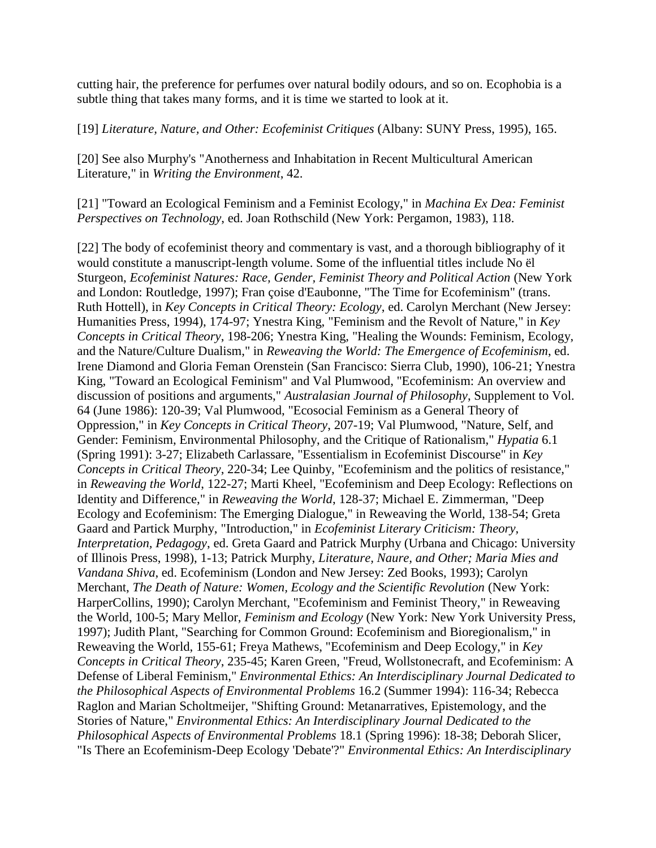cutting hair, the preference for perfumes over natural bodily odours, and so on. Ecophobia is a subtle thing that takes many forms, and it is time we started to look at it.

[19] *Literature, Nature, and Other: Ecofeminist Critiques* (Albany: SUNY Press, 1995), 165.

[20] See also Murphy's "Anotherness and Inhabitation in Recent Multicultural American Literature," in *Writing the Environment*, 42.

[21] "Toward an Ecological Feminism and a Feminist Ecology," in *Machina Ex Dea: Feminist Perspectives on Technology*, ed. Joan Rothschild (New York: Pergamon, 1983), 118.

[22] The body of ecofeminist theory and commentary is vast, and a thorough bibliography of it would constitute a manuscript-length volume. Some of the influential titles include No ël Sturgeon, *Ecofeminist Natures: Race, Gender, Feminist Theory and Political Action* (New York and London: Routledge, 1997); Fran çoise d'Eaubonne, "The Time for Ecofeminism" (trans. Ruth Hottell), in *Key Concepts in Critical Theory: Ecology*, ed. Carolyn Merchant (New Jersey: Humanities Press, 1994), 174-97; Ynestra King, "Feminism and the Revolt of Nature," in *Key Concepts in Critical Theory*, 198-206; Ynestra King, "Healing the Wounds: Feminism, Ecology, and the Nature/Culture Dualism," in *Reweaving the World: The Emergence of Ecofeminism*, ed. Irene Diamond and Gloria Feman Orenstein (San Francisco: Sierra Club, 1990), 106-21; Ynestra King, "Toward an Ecological Feminism" and Val Plumwood, "Ecofeminism: An overview and discussion of positions and arguments," *Australasian Journal of Philosophy*, Supplement to Vol. 64 (June 1986): 120-39; Val Plumwood, "Ecosocial Feminism as a General Theory of Oppression," in *Key Concepts in Critical Theory*, 207-19; Val Plumwood, "Nature, Self, and Gender: Feminism, Environmental Philosophy, and the Critique of Rationalism," *Hypatia* 6.1 (Spring 1991): 3-27; Elizabeth Carlassare, "Essentialism in Ecofeminist Discourse" in *Key Concepts in Critical Theory*, 220-34; Lee Quinby, "Ecofeminism and the politics of resistance," in *Reweaving the World*, 122-27; Marti Kheel, "Ecofeminism and Deep Ecology: Reflections on Identity and Difference," in *Reweaving the World*, 128-37; Michael E. Zimmerman, "Deep Ecology and Ecofeminism: The Emerging Dialogue," in Reweaving the World, 138-54; Greta Gaard and Partick Murphy, "Introduction," in *Ecofeminist Literary Criticism: Theory, Interpretation, Pedagogy*, ed. Greta Gaard and Patrick Murphy (Urbana and Chicago: University of Illinois Press, 1998), 1-13; Patrick Murphy, *Literature, Naure, and Other; Maria Mies and Vandana Shiva*, ed. Ecofeminism (London and New Jersey: Zed Books, 1993); Carolyn Merchant, *The Death of Nature: Women, Ecology and the Scientific Revolution* (New York: HarperCollins, 1990); Carolyn Merchant, "Ecofeminism and Feminist Theory," in Reweaving the World, 100-5; Mary Mellor, *Feminism and Ecology* (New York: New York University Press, 1997); Judith Plant, "Searching for Common Ground: Ecofeminism and Bioregionalism," in Reweaving the World, 155-61; Freya Mathews, "Ecofeminism and Deep Ecology," in *Key Concepts in Critical Theory*, 235-45; Karen Green, "Freud, Wollstonecraft, and Ecofeminism: A Defense of Liberal Feminism," *Environmental Ethics: An Interdisciplinary Journal Dedicated to the Philosophical Aspects of Environmental Problems* 16.2 (Summer 1994): 116-34; Rebecca Raglon and Marian Scholtmeijer, "Shifting Ground: Metanarratives, Epistemology, and the Stories of Nature," *Environmental Ethics: An Interdisciplinary Journal Dedicated to the Philosophical Aspects of Environmental Problems* 18.1 (Spring 1996): 18-38; Deborah Slicer, "Is There an Ecofeminism-Deep Ecology 'Debate'?" *Environmental Ethics: An Interdisciplinary*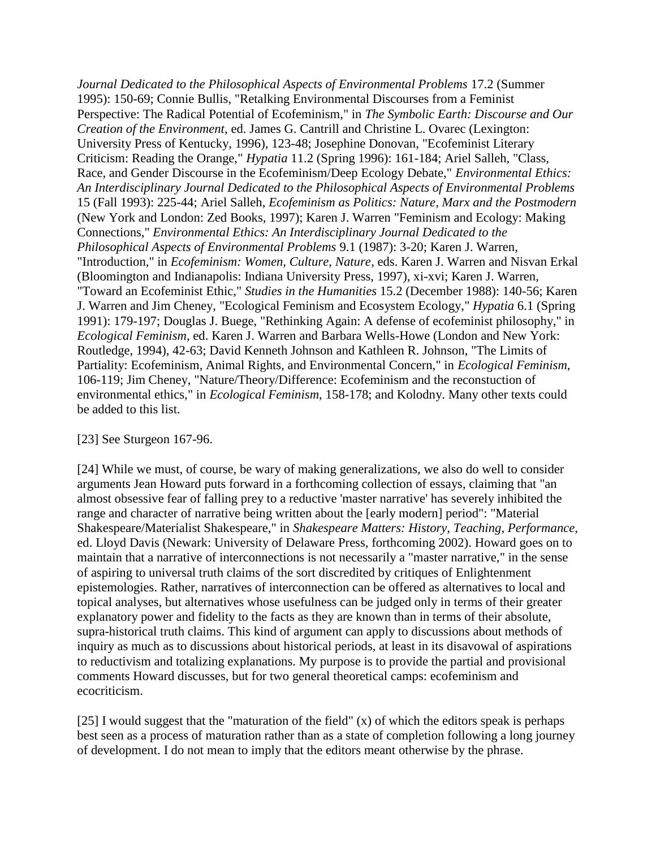*Journal Dedicated to the Philosophical Aspects of Environmental Problems* 17.2 (Summer 1995): 150-69; Connie Bullis, "Retalking Environmental Discourses from a Feminist Perspective: The Radical Potential of Ecofeminism," in *The Symbolic Earth: Discourse and Our Creation of the Environment*, ed. James G. Cantrill and Christine L. Ovarec (Lexington: University Press of Kentucky, 1996), 123-48; Josephine Donovan, "Ecofeminist Literary Criticism: Reading the Orange," *Hypatia* 11.2 (Spring 1996): 161-184; Ariel Salleh, "Class, Race, and Gender Discourse in the Ecofeminism/Deep Ecology Debate," *Environmental Ethics: An Interdisciplinary Journal Dedicated to the Philosophical Aspects of Environmental Problems* 15 (Fall 1993): 225-44; Ariel Salleh, *Ecofeminism as Politics: Nature, Marx and the Postmodern* (New York and London: Zed Books, 1997); Karen J. Warren "Feminism and Ecology: Making Connections," *Environmental Ethics: An Interdisciplinary Journal Dedicated to the Philosophical Aspects of Environmental Problems* 9.1 (1987): 3-20; Karen J. Warren, "Introduction," in *Ecofeminism: Women, Culture, Nature*, eds. Karen J. Warren and Nisvan Erkal (Bloomington and Indianapolis: Indiana University Press, 1997), xi-xvi; Karen J. Warren, "Toward an Ecofeminist Ethic," *Studies in the Humanities* 15.2 (December 1988): 140-56; Karen J. Warren and Jim Cheney, "Ecological Feminism and Ecosystem Ecology," *Hypatia* 6.1 (Spring 1991): 179-197; Douglas J. Buege, "Rethinking Again: A defense of ecofeminist philosophy," in *Ecological Feminism*, ed. Karen J. Warren and Barbara Wells-Howe (London and New York: Routledge, 1994), 42-63; David Kenneth Johnson and Kathleen R. Johnson, "The Limits of Partiality: Ecofeminism, Animal Rights, and Environmental Concern," in *Ecological Feminism*, 106-119; Jim Cheney, "Nature/Theory/Difference: Ecofeminism and the reconstuction of environmental ethics," in *Ecological Feminism*, 158-178; and Kolodny. Many other texts could be added to this list.

#### [23] See Sturgeon 167-96.

[24] While we must, of course, be wary of making generalizations, we also do well to consider arguments Jean Howard puts forward in a forthcoming collection of essays, claiming that "an almost obsessive fear of falling prey to a reductive 'master narrative' has severely inhibited the range and character of narrative being written about the [early modern] period": "Material Shakespeare/Materialist Shakespeare," in *Shakespeare Matters: History, Teaching, Performance,* ed. Lloyd Davis (Newark: University of Delaware Press, forthcoming 2002). Howard goes on to maintain that a narrative of interconnections is not necessarily a "master narrative," in the sense of aspiring to universal truth claims of the sort discredited by critiques of Enlightenment epistemologies. Rather, narratives of interconnection can be offered as alternatives to local and topical analyses, but alternatives whose usefulness can be judged only in terms of their greater explanatory power and fidelity to the facts as they are known than in terms of their absolute, supra-historical truth claims. This kind of argument can apply to discussions about methods of inquiry as much as to discussions about historical periods, at least in its disavowal of aspirations to reductivism and totalizing explanations. My purpose is to provide the partial and provisional comments Howard discusses, but for two general theoretical camps: ecofeminism and ecocriticism.

 $[25]$  I would suggest that the "maturation of the field" (x) of which the editors speak is perhaps best seen as a process of maturation rather than as a state of completion following a long journey of development. I do not mean to imply that the editors meant otherwise by the phrase.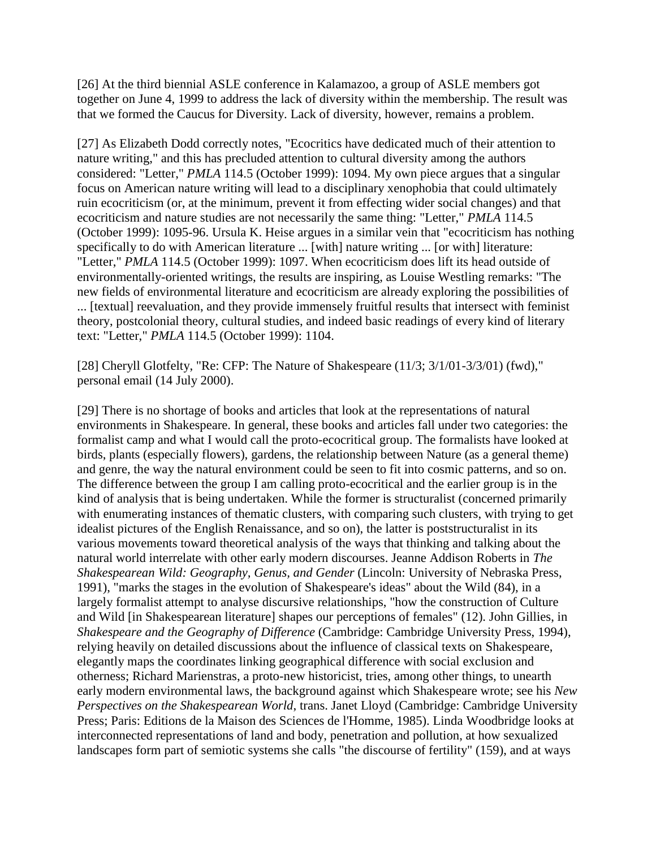[26] At the third biennial ASLE conference in Kalamazoo, a group of ASLE members got together on June 4, 1999 to address the lack of diversity within the membership. The result was that we formed the Caucus for Diversity. Lack of diversity, however, remains a problem.

[27] As Elizabeth Dodd correctly notes, "Ecocritics have dedicated much of their attention to nature writing," and this has precluded attention to cultural diversity among the authors considered: "Letter," *PMLA* 114.5 (October 1999): 1094. My own piece argues that a singular focus on American nature writing will lead to a disciplinary xenophobia that could ultimately ruin ecocriticism (or, at the minimum, prevent it from effecting wider social changes) and that ecocriticism and nature studies are not necessarily the same thing: "Letter," *PMLA* 114.5 (October 1999): 1095-96. Ursula K. Heise argues in a similar vein that "ecocriticism has nothing specifically to do with American literature ... [with] nature writing ... [or with] literature: "Letter," *PMLA* 114.5 (October 1999): 1097. When ecocriticism does lift its head outside of environmentally-oriented writings, the results are inspiring, as Louise Westling remarks: "The new fields of environmental literature and ecocriticism are already exploring the possibilities of ... [textual] reevaluation, and they provide immensely fruitful results that intersect with feminist theory, postcolonial theory, cultural studies, and indeed basic readings of every kind of literary text: "Letter," *PMLA* 114.5 (October 1999): 1104.

[28] Cheryll Glotfelty, "Re: CFP: The Nature of Shakespeare (11/3; 3/1/01-3/3/01) (fwd)," personal email (14 July 2000).

[29] There is no shortage of books and articles that look at the representations of natural environments in Shakespeare. In general, these books and articles fall under two categories: the formalist camp and what I would call the proto-ecocritical group. The formalists have looked at birds, plants (especially flowers), gardens, the relationship between Nature (as a general theme) and genre, the way the natural environment could be seen to fit into cosmic patterns, and so on. The difference between the group I am calling proto-ecocritical and the earlier group is in the kind of analysis that is being undertaken. While the former is structuralist (concerned primarily with enumerating instances of thematic clusters, with comparing such clusters, with trying to get idealist pictures of the English Renaissance, and so on), the latter is poststructuralist in its various movements toward theoretical analysis of the ways that thinking and talking about the natural world interrelate with other early modern discourses. Jeanne Addison Roberts in *The Shakespearean Wild: Geography, Genus, and Gender* (Lincoln: University of Nebraska Press, 1991), "marks the stages in the evolution of Shakespeare's ideas" about the Wild (84), in a largely formalist attempt to analyse discursive relationships, "how the construction of Culture and Wild [in Shakespearean literature] shapes our perceptions of females" (12). John Gillies, in *Shakespeare and the Geography of Difference* (Cambridge: Cambridge University Press, 1994), relying heavily on detailed discussions about the influence of classical texts on Shakespeare, elegantly maps the coordinates linking geographical difference with social exclusion and otherness; Richard Marienstras, a proto-new historicist, tries, among other things, to unearth early modern environmental laws, the background against which Shakespeare wrote; see his *New Perspectives on the Shakespearean World*, trans. Janet Lloyd (Cambridge: Cambridge University Press; Paris: Editions de la Maison des Sciences de l'Homme, 1985). Linda Woodbridge looks at interconnected representations of land and body, penetration and pollution, at how sexualized landscapes form part of semiotic systems she calls "the discourse of fertility" (159), and at ways